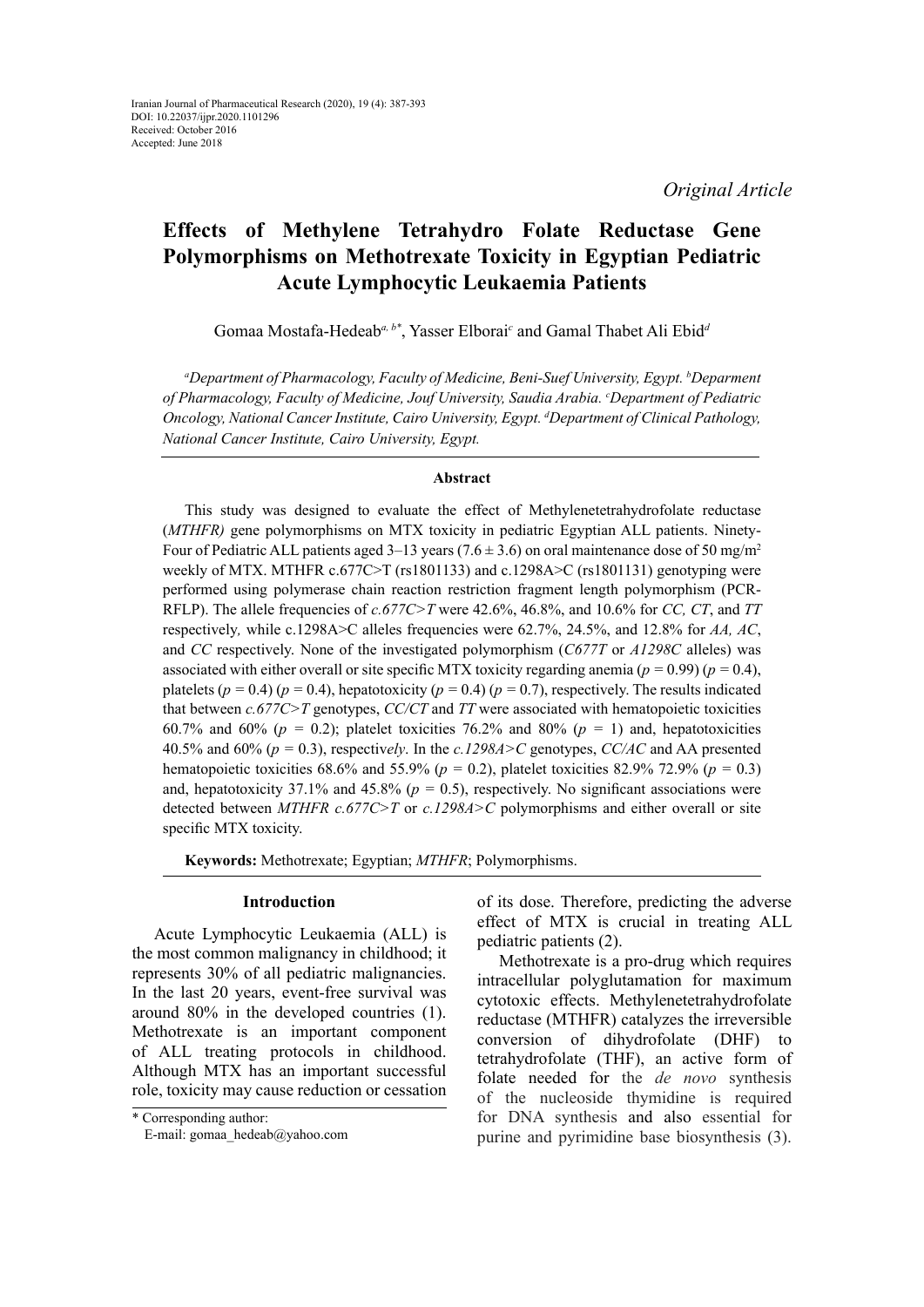# **Effects of Methylene Tetrahydro Folate Reductase Gene Polymorphisms on Methotrexate Toxicity in Egyptian Pediatric Acute Lymphocytic Leukaemia Patients**

Gomaa Mostafa-Hedeab*a, b\**, Yasser Elborai*<sup>c</sup>* and Gamal Thabet Ali Ebid*<sup>d</sup>*

*a Department of Pharmacology, Faculty of Medicine, Beni-Suef University, Egypt. b Deparment of Pharmacology, Faculty of Medicine, Jouf University, Saudia Arabia. c Department of Pediatric Oncology, National Cancer Institute, Cairo University, Egypt. d Department of Clinical Pathology, National Cancer Institute, Cairo University, Egypt.*

### **Abstract**

This study was designed to evaluate the effect of Methylenetetrahydrofolate reductase (*MTHFR)* gene polymorphisms on MTX toxicity in pediatric Egyptian ALL patients. Ninety-Four of Pediatric ALL patients aged 3–13 years (7.6  $\pm$  3.6) on oral maintenance dose of 50 mg/m<sup>2</sup> weekly of MTX. MTHFR c.677C>T (rs1801133) and c.1298A>C (rs1801131) genotyping were performed using polymerase chain reaction restriction fragment length polymorphism (PCR-RFLP). The allele frequencies of *c.677C>T* were 42.6%, 46.8%, and 10.6% for *CC, CT*, and *TT*  respectively*,* while c.1298A>C alleles frequencies were 62.7%, 24.5%, and 12.8% for *AA, AC*, and *CC* respectively. None of the investigated polymorphism (*C677T* or *A1298C* alleles) was associated with either overall or site specific MTX toxicity regarding anemia ( $p = 0.99$ ) ( $p = 0.4$ ), platelets ( $p = 0.4$ ) ( $p = 0.4$ ), hepatotoxicity ( $p = 0.4$ ) ( $p = 0.7$ ), respectively. The results indicated that between *c.677C>T* genotypes, *CC/CT* and *TT* were associated with hematopoietic toxicities 60.7% and 60% ( $p = 0.2$ ); platelet toxicities 76.2% and 80% ( $p = 1$ ) and, hepatotoxicities 40.5% and 60% (*p =* 0.3), respectiv*ely*. In the *c.1298A>C* genotypes, *CC/AC* and AA presented hematopoietic toxicities 68.6% and 55.9% (*p =* 0.2), platelet toxicities 82.9% 72.9% (*p =* 0.3) and, hepatotoxicity 37.1% and 45.8% ( $p = 0.5$ ), respectively. No significant associations were detected between *MTHFR c.677C>T* or *c.1298A>C* polymorphisms and either overall or site specific MTX toxicity.

**Keywords:** Methotrexate; Egyptian; *MTHFR*; Polymorphisms.

#### **Introduction**

Acute Lymphocytic Leukaemia (ALL) is the most common malignancy in childhood; it represents 30% of all pediatric malignancies. In the last 20 years, event-free survival was around 80% in the developed countries (1). Methotrexate is an important component of ALL treating protocols in childhood. Although MTX has an important successful role, toxicity may cause reduction or cessation

of its dose. Therefore, predicting the adverse effect of MTX is crucial in treating ALL pediatric patients (2).

Methotrexate is a pro-drug which requires intracellular polyglutamation for maximum cytotoxic effects. Methylenetetrahydrofolate reductase (MTHFR) catalyzes the irreversible conversion of dihydrofolate (DHF) to tetrahydrofolate (THF), an active form of folate needed for the *de novo* synthesis of the nucleoside thymidine is required for DNA synthesis and also essential for purine and pyrimidine base biosynthesis (3).

<sup>\*</sup> Corresponding author:

E-mail: gomaa\_hedeab@yahoo.com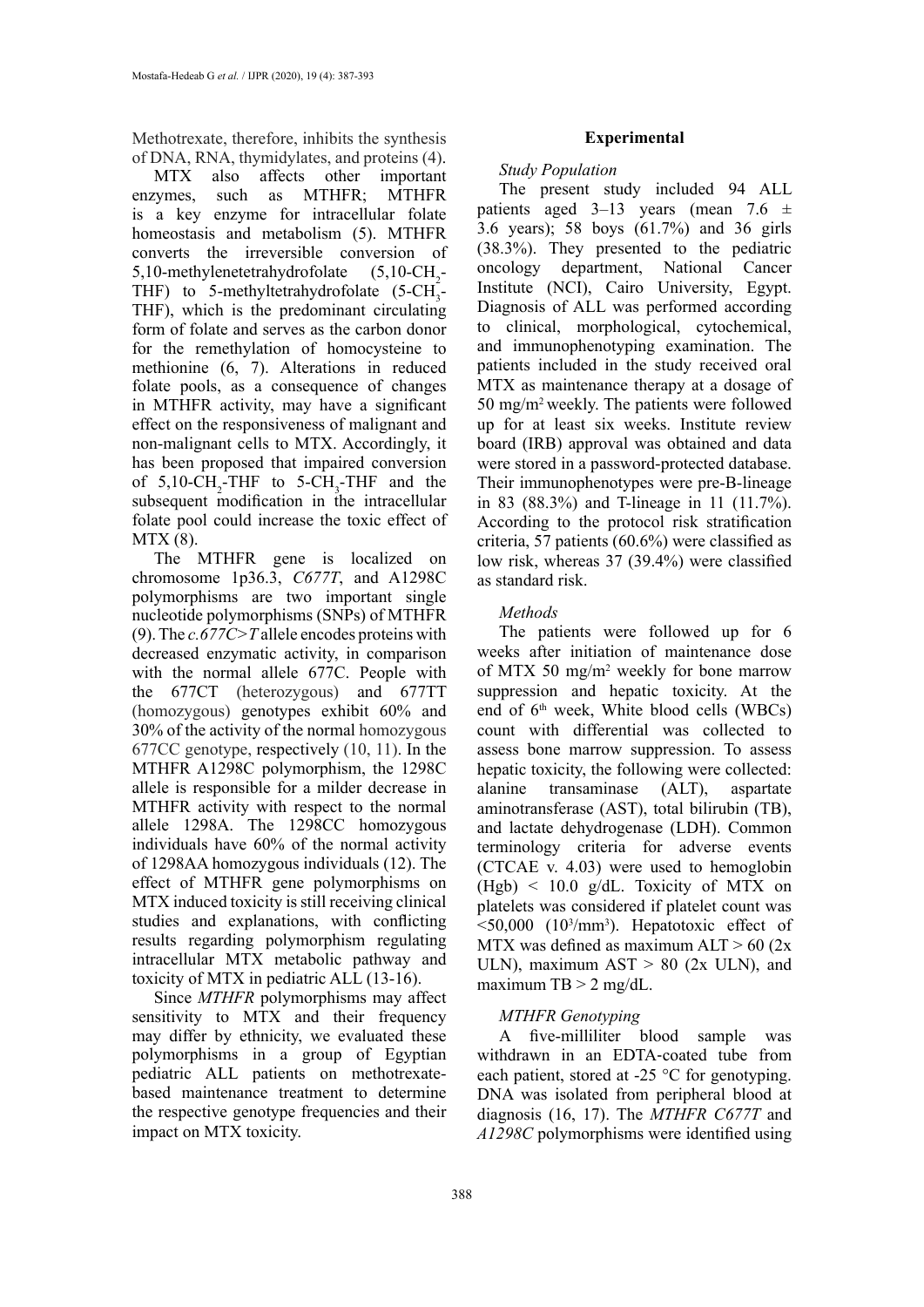Methotrexate, therefore, inhibits the synthesis of DNA, RNA, thymidylates, and proteins (4).

MTX also affects other important enzymes, such as MTHFR; MTHFR is a key enzyme for intracellular folate homeostasis and metabolism (5). MTHFR converts the irreversible conversion of  $5,10$ -methylenetetrahydrofolate  $(5,10\text{-CH}_2 -$ THF) to 5-methyltetrahydrofolate  $(5\text{-CH}_3)$ THF), which is the predominant circulating form of folate and serves as the carbon donor for the remethylation of homocysteine to methionine (6, 7). Alterations in reduced folate pools, as a consequence of changes in MTHFR activity, may have a significant effect on the responsiveness of malignant and non-malignant cells to MTX. Accordingly, it has been proposed that impaired conversion of  $5,10\text{-CH}_2\text{-}THF$  to  $5\text{-}CH_3\text{-}THF$  and the subsequent modification in the intracellular folate pool could increase the toxic effect of MTX (8).

The MTHFR gene is localized on chromosome 1p36.3, *C677T*, and A1298C polymorphisms are two important single nucleotide polymorphisms (SNPs) of MTHFR (9). The *c.677C>T* allele encodes proteins with decreased enzymatic activity, in comparison with the normal allele 677C. People with the 677CT (heterozygous) and 677TT (homozygous) genotypes exhibit 60% and 30% of the activity of the normal homozygous 677CC genotype, respectively (10, 11). In the MTHFR A1298C polymorphism, the 1298C allele is responsible for a milder decrease in MTHFR activity with respect to the normal allele 1298A. The 1298CC homozygous individuals have 60% of the normal activity of 1298AA homozygous individuals (12). The effect of MTHFR gene polymorphisms on MTX induced toxicity is still receiving clinical studies and explanations, with conflicting results regarding polymorphism regulating intracellular MTX metabolic pathway and toxicity of MTX in pediatric ALL (13-16).

Since *MTHFR* polymorphisms may affect sensitivity to MTX and their frequency may differ by ethnicity, we evaluated these polymorphisms in a group of Egyptian pediatric ALL patients on methotrexatebased maintenance treatment to determine the respective genotype frequencies and their impact on MTX toxicity.

# **Experimental**

# *Study Population*

The present study included 94 ALL patients aged 3–13 years (mean 7.6  $\pm$ 3.6 years); 58 boys (61.7%) and 36 girls (38.3%). They presented to the pediatric oncology department, National Cancer Institute (NCI), Cairo University, Egypt. Diagnosis of ALL was performed according to clinical, morphological, cytochemical, and immunophenotyping examination. The patients included in the study received oral MTX as maintenance therapy at a dosage of 50 mg/m2 weekly. The patients were followed up for at least six weeks. Institute review board (IRB) approval was obtained and data were stored in a password-protected database. Their immunophenotypes were pre-B-lineage in 83 (88.3%) and T-lineage in 11 (11.7%). According to the protocol risk stratification criteria, 57 patients (60.6%) were classified as low risk, whereas 37 (39.4%) were classified as standard risk.

# *Methods*

The patients were followed up for 6 weeks after initiation of maintenance dose of MTX 50 mg/m2 weekly for bone marrow suppression and hepatic toxicity. At the end of  $6<sup>th</sup>$  week. White blood cells (WBCs) count with differential was collected to assess bone marrow suppression. To assess hepatic toxicity, the following were collected: alanine transaminase (ALT), aspartate aminotransferase (AST), total bilirubin (TB), and lactate dehydrogenase (LDH). Common terminology criteria for adverse events (CTCAE v. 4.03) were used to hemoglobin  $(Hgb) < 10.0$  g/dL. Toxicity of MTX on platelets was considered if platelet count was  $\leq$ 50,000 (10<sup>3</sup>/mm<sup>3</sup>). Hepatotoxic effect of MTX was defined as maximum  $AIT > 60$  (2x) ULN), maximum  $AST > 80$  (2x ULN), and maximum  $TB > 2$  mg/dL.

# *MTHFR Genotyping*

A five-milliliter blood sample was withdrawn in an EDTA‐coated tube from each patient, stored at -25 °C for genotyping. DNA was isolated from peripheral blood at diagnosis (16, 17). The *MTHFR C677T* and *A1298C* polymorphisms were identified using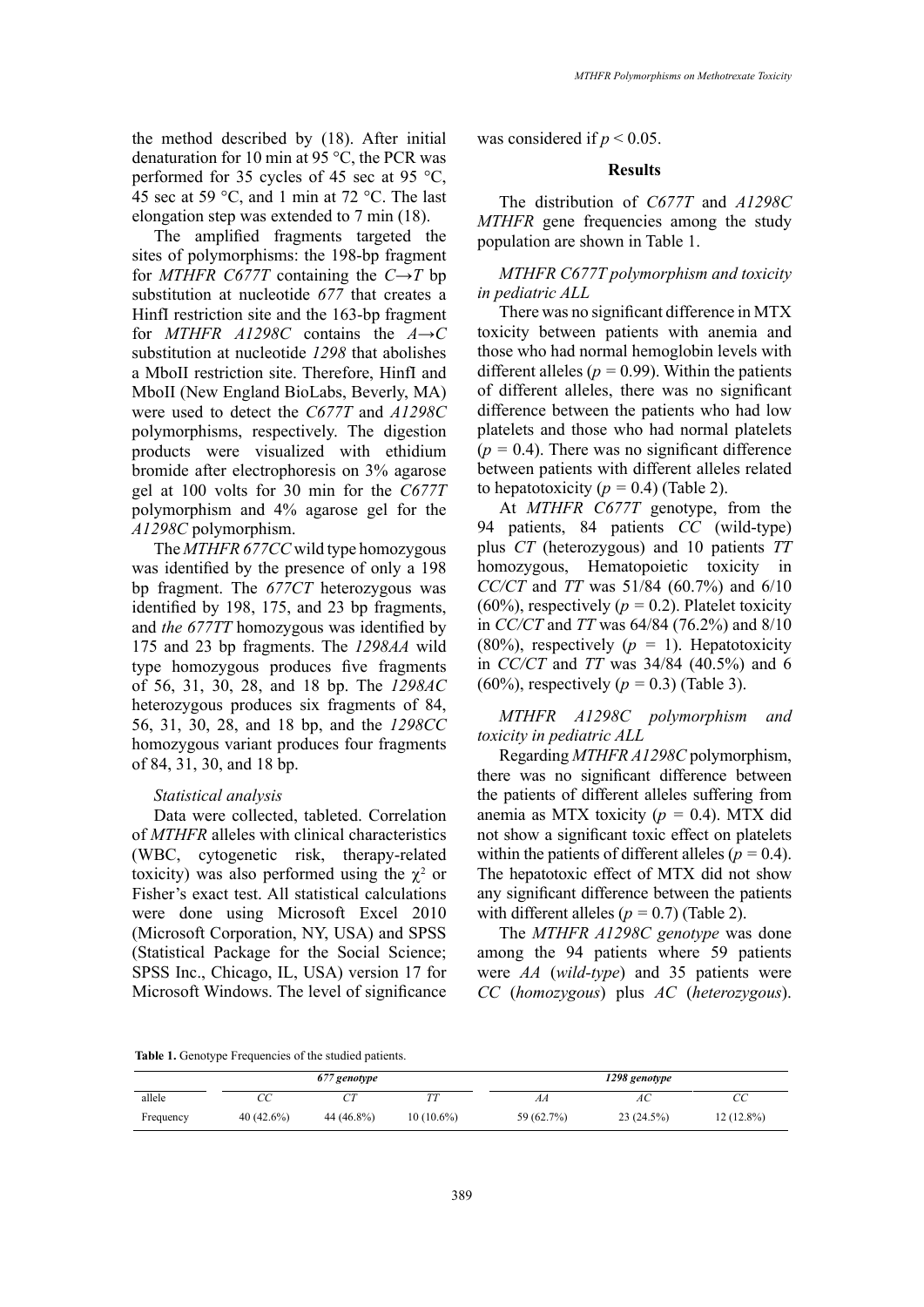the method described by (18). After initial denaturation for 10 min at 95 °C, the PCR was performed for 35 cycles of 45 sec at 95 °C, 45 sec at 59 °C, and 1 min at 72 °C. The last elongation step was extended to 7 min (18).

The amplified fragments targeted the sites of polymorphisms: the 198-bp fragment for *MTHFR C677T* containing the *C→T* bp substitution at nucleotide *677* that creates a HinfI restriction site and the 163-bp fragment for *MTHFR A1298C* contains the *A→C* substitution at nucleotide *1298* that abolishes a MboII restriction site. Therefore, HinfI and MboII (New England BioLabs, Beverly, MA) were used to detect the *C677T* and *A1298C* polymorphisms, respectively. The digestion products were visualized with ethidium bromide after electrophoresis on 3% agarose gel at 100 volts for 30 min for the *C677T* polymorphism and 4% agarose gel for the *A1298C* polymorphism.

The *MTHFR 677CC* wild type homozygous was identified by the presence of only a 198 bp fragment. The *677CT* heterozygous was identified by 198, 175, and 23 bp fragments, and *the 677TT* homozygous was identified by 175 and 23 bp fragments. The *1298AA* wild type homozygous produces five fragments of 56, 31, 30, 28, and 18 bp. The *1298AC* heterozygous produces six fragments of 84, 56, 31, 30, 28, and 18 bp, and the *1298CC* homozygous variant produces four fragments of 84, 31, 30, and 18 bp.

### *Statistical analysis*

Data were collected, tableted. Correlation of *MTHFR* alleles with clinical characteristics (WBC, cytogenetic risk, therapy-related toxicity) was also performed using the  $\chi^2$  or Fisher's exact test. All statistical calculations were done using Microsoft Excel 2010 (Microsoft Corporation, NY, USA) and SPSS (Statistical Package for the Social Science; SPSS Inc., Chicago, IL, USA) version 17 for Microsoft Windows. The level of significance

was considered if  $p < 0.05$ .

#### **Results**

The distribution of *C677T* and *A1298C MTHFR* gene frequencies among the study population are shown in Table 1.

*MTHFR C677T polymorphism and toxicity in pediatric ALL*

There was no significant difference in MTX toxicity between patients with anemia and those who had normal hemoglobin levels with different alleles ( $p = 0.99$ ). Within the patients of different alleles, there was no significant difference between the patients who had low platelets and those who had normal platelets  $(p = 0.4)$ . There was no significant difference between patients with different alleles related to hepatotoxicity  $(p = 0.4)$  (Table 2).

At *MTHFR C677T* genotype, from the 94 patients, 84 patients *CC* (wild-type) plus *CT* (heterozygous) and 10 patients *TT* homozygous, Hematopoietic toxicity in *CC/CT* and *TT* was 51/84 (60.7%) and 6/10 (60%), respectively ( $p = 0.2$ ). Platelet toxicity in *CC/CT* and *TT* was 64/84 (76.2%) and 8/10 (80%), respectively (*p =* 1). Hepatotoxicity in *CC/CT* and *TT* was 34/84 (40.5%) and 6 (60%), respectively (*p =* 0.3) (Table 3).

*MTHFR A1298C polymorphism and toxicity in pediatric ALL*

Regarding *MTHFR A1298C* polymorphism, there was no significant difference between the patients of different alleles suffering from anemia as MTX toxicity (*p =* 0.4). MTX did not show a significant toxic effect on platelets within the patients of different alleles  $(p = 0.4)$ . The hepatotoxic effect of MTX did not show any significant difference between the patients with different alleles  $(p = 0.7)$  (Table 2).

The *MTHFR A1298C genotype* was done among the 94 patients where 59 patients were *AA* (*wild-type*) and 35 patients were *CC* (*homozygous*) plus *AC* (*heterozygous*).

**Table 1.** Genotype Frequencies of the studied patients. **Table 1.** Genotype Frequencies of the studied patients.

|           |           | 677 genotype |              |            | 1298 genotype |              |
|-----------|-----------|--------------|--------------|------------|---------------|--------------|
| allele    | UC.       |              |              | AA         | АC            | СC           |
| Frequency | 40(42.6%) | 44 (46.8%)   | $10(10.6\%)$ | 59 (62.7%) | 23(24.5%)     | $12(12.8\%)$ |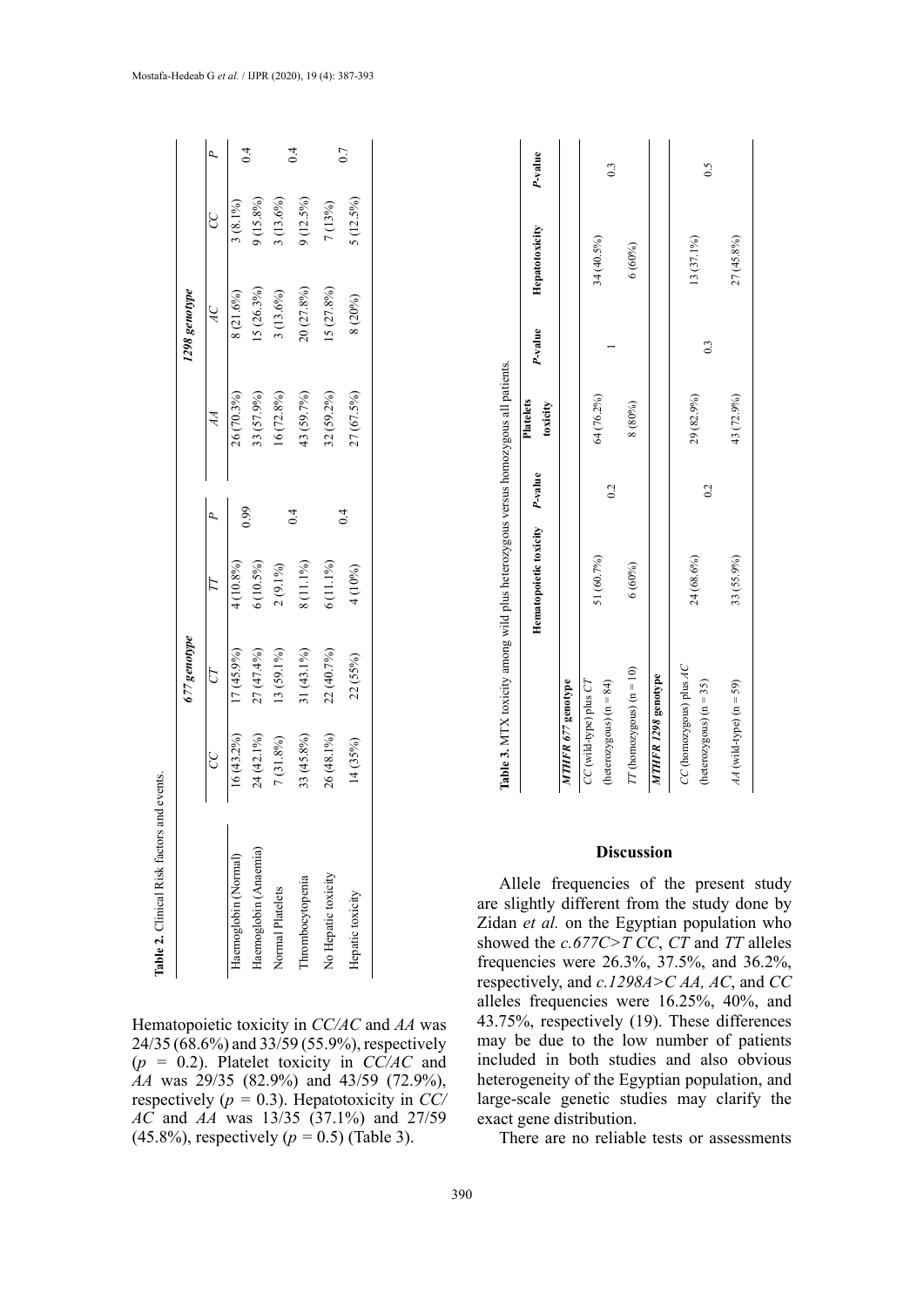|                       |              | 677 genotype |             |    |              | 1298 genotype            |             |           |
|-----------------------|--------------|--------------|-------------|----|--------------|--------------------------|-------------|-----------|
|                       | g            | CT           |             |    |              | $\overline{\mathcal{A}}$ | CC<br>C     |           |
| Haemoglobin (Normal)  | $16(43.2\%)$ | 17 (45.9%)   | 4(10.8%)    |    | 26 (70.3%)   | 8(21.6%)                 | $3(8.1\%)$  |           |
| Haemoglobin (Anaemia) | 24 (42.1%)   | 27 (47.4%)   | $6(10.5\%)$ | 99 | 33 (57.9%)   | 15 (26.3%)               | 9 (15.8%)   | $\dot{=}$ |
| Normal Platelets      | 7 (31.8%)    | 13 (59.1%)   | $2(9.1\%)$  |    | $16(72.8\%)$ | $3(13.6\%)$              | $3(13.6\%)$ |           |
| Thrombocytopenia      | 33 (45.8%)   | $31(43.1\%)$ | 8 (11.1%)   |    | 43 (59.7%)   | 20 (27.8%)               | $(12.5\%)$  | $\vec{a}$ |
| No Hepatic toxicity   | 26 (48.1%)   | 22 (40.7%)   | $6(11.1\%)$ |    | 32 (59.2%)   | 5(27.8%)                 | 7 (13%)     |           |
| Hepatic toxicity      | 14(35%)      | 22 (55%)     | 1 (10%)     |    | 27 (67.5%)   | 8 (20%)                  | $(12.5\%)$  | 0.7       |

Hematopoietic toxicity in *CC/AC* and *AA* was 24/35 (68.6%) and 33/59 (55.9%), respectively (*p =* 0.2). Platelet toxicity in *CC/AC* and *AA* was 29/35 (82.9%) and 43/59 (72.9%), respectively (*p =* 0.3). Hepatotoxicity in *CC/ AC* and *AA* was 13/35 (37.1%) and 27/59 (45.8%), respectively (*p =* 0.5) (Table 3).

| Table 3. MTX toxicity among wild plus heterozygous versus homozygous all patients. |                                |                |                  |         |                |                           |
|------------------------------------------------------------------------------------|--------------------------------|----------------|------------------|---------|----------------|---------------------------|
|                                                                                    |                                |                | <b>Platelets</b> |         |                |                           |
|                                                                                    | Hematopoietic toxicity P-value |                | toxicity         | P-value | Hepatotoxicity | P-value                   |
| MTHFR 677 genotype                                                                 |                                |                |                  |         |                |                           |
| $CC$ (wild-type) plus $CT$                                                         |                                |                |                  |         |                |                           |
| $(heterozygous) (n = 84)$                                                          | 51 (60.7%)                     | 0.2            | 64 (76.2%)       |         | 34 (40.5%)     | $\ddot{0}$                |
| $TT$ (homozygous) (n = 10)                                                         | 6(60%)                         |                | 8 (80%)          |         | 6(60%)         |                           |
| MTHFR 1298 genotype                                                                |                                |                |                  |         |                |                           |
| CC (homozygous) plus AC                                                            |                                |                |                  |         |                |                           |
| $(heterozygous) (n = 35)$                                                          | 24 (68.6%)                     | $\overline{0}$ | 29 (82.9%)       | ි       | 13 (37.1%)     | $\widetilde{\phantom{a}}$ |

*AA* (wild-type) (n = 59) 33 (55.9%) 43 (72.9%) 27 (45.8%)

33 (55.9%)

 $AA$  (wild-type) (n = 59)

43 (72.9%)

27 (45.8%)

# **Discussion**

Allele frequencies of the present study are slightly different from the study done by Zidan *et al.* on the Egyptian population who showed the *c.677C>T CC*, *CT* and *TT* alleles frequencies were 26.3%, 37.5%, and 36.2%, respectively, and *c.1298A>C AA, AC*, and *CC* alleles frequencies were 16.25%, 40%, and 43.75%, respectively (19). These differences may be due to the low number of patients included in both studies and also obvious heterogeneity of the Egyptian population, and large-scale genetic studies may clarify the exact gene distribution.

There are no reliable tests or assessments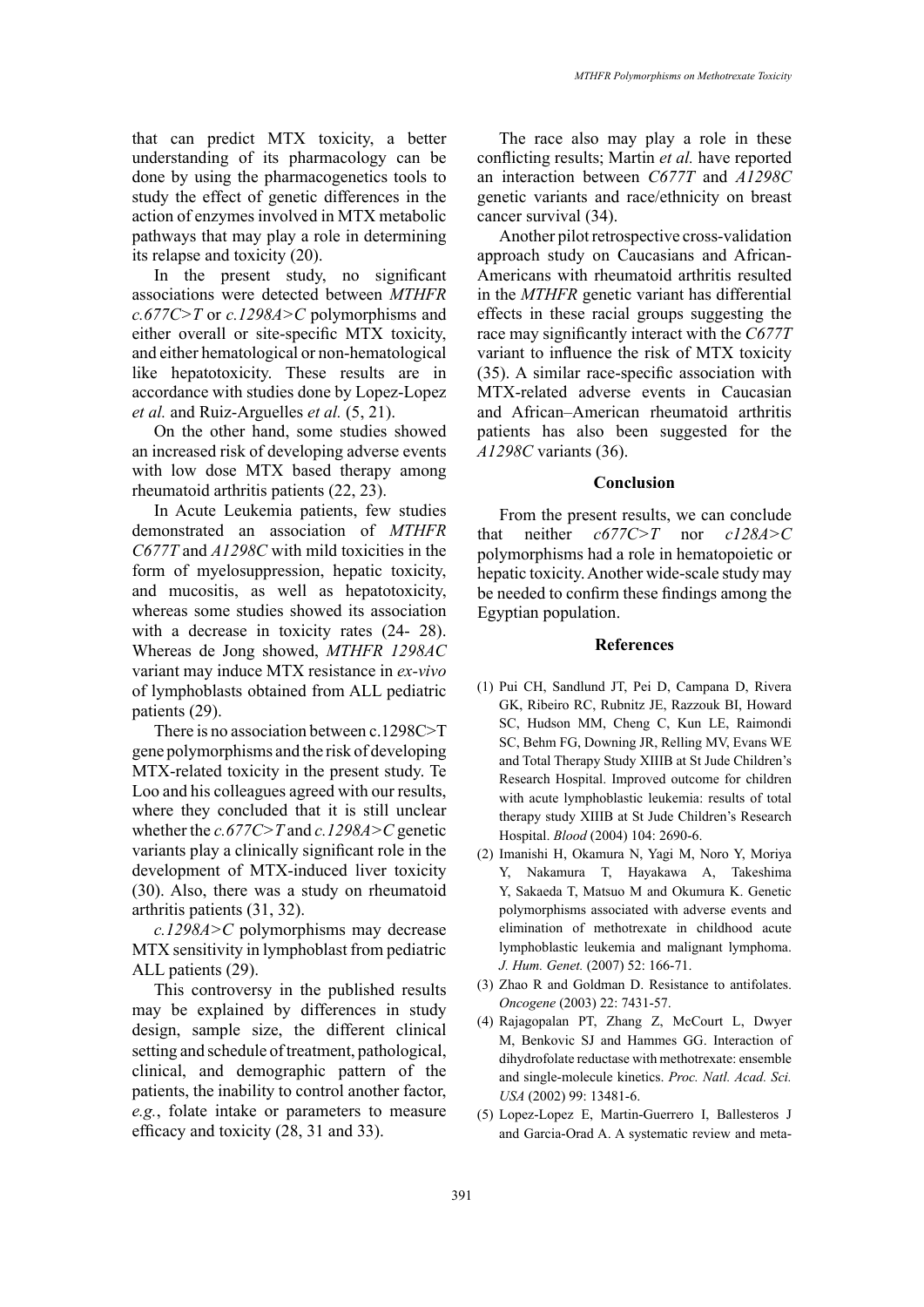that can predict MTX toxicity, a better understanding of its pharmacology can be done by using the pharmacogenetics tools to study the effect of genetic differences in the action of enzymes involved in MTX metabolic pathways that may play a role in determining its relapse and toxicity (20).

In the present study, no significant associations were detected between *MTHFR c.677C>T* or *c.1298A>C* polymorphisms and either overall or site-specific MTX toxicity, and either hematological or non-hematological like hepatotoxicity. These results are in accordance with studies done by Lopez-Lopez *et al.* and Ruiz-Arguelles *et al.* (5, 21).

On the other hand, some studies showed an increased risk of developing adverse events with low dose MTX based therapy among rheumatoid arthritis patients (22, 23).

In Acute Leukemia patients, few studies demonstrated an association of *MTHFR C677T* and *A1298C* with mild toxicities in the form of myelosuppression, hepatic toxicity, and mucositis, as well as hepatotoxicity, whereas some studies showed its association with a decrease in toxicity rates  $(24-28)$ . Whereas de Jong showed, *MTHFR 1298AC* variant may induce MTX resistance in *ex-vivo*  of lymphoblasts obtained from ALL pediatric patients (29).

There is no association between c.1298C>T gene polymorphisms and the risk of developing MTX-related toxicity in the present study. Te Loo and his colleagues agreed with our results, where they concluded that it is still unclear whether the *c.677C>T* and *c.1298A>C* genetic variants play a clinically significant role in the development of MTX-induced liver toxicity (30). Also, there was a study on rheumatoid arthritis patients (31, 32).

*c.1298A>C* polymorphisms may decrease MTX sensitivity in lymphoblast from pediatric ALL patients (29).

This controversy in the published results may be explained by differences in study design, sample size, the different clinical setting and schedule of treatment, pathological, clinical, and demographic pattern of the patients, the inability to control another factor, *e.g.*, folate intake or parameters to measure efficacy and toxicity (28, 31 and 33).

The race also may play a role in these conflicting results; Martin *et al.* have reported an interaction between *C677T* and *A1298C* genetic variants and race/ethnicity on breast cancer survival (34).

Another pilot retrospective cross-validation approach study on Caucasians and African-Americans with rheumatoid arthritis resulted in the *MTHFR* genetic variant has differential effects in these racial groups suggesting the race may significantly interact with the *C677T* variant to influence the risk of MTX toxicity (35). A similar race-specific association with MTX-related adverse events in Caucasian and African–American rheumatoid arthritis patients has also been suggested for the *A1298C* variants (36).

### **Conclusion**

From the present results, we can conclude that neither *c677C>T* nor *c128A>C* polymorphisms had a role in hematopoietic or hepatic toxicity. Another wide-scale study may be needed to confirm these findings among the Egyptian population.

#### **References**

- (1) Pui CH, [Sandlund JT](https://www.ncbi.nlm.nih.gov/pubmed/?term=Sandlund JT%5BAuthor%5D&cauthor=true&cauthor_uid=15251979), [Pei D,](https://www.ncbi.nlm.nih.gov/pubmed/?term=Pei D%5BAuthor%5D&cauthor=true&cauthor_uid=15251979) [Campana D](https://www.ncbi.nlm.nih.gov/pubmed/?term=Campana D%5BAuthor%5D&cauthor=true&cauthor_uid=15251979), [Rivera](https://www.ncbi.nlm.nih.gov/pubmed/?term=Rivera GK%5BAuthor%5D&cauthor=true&cauthor_uid=15251979) [GK,](https://www.ncbi.nlm.nih.gov/pubmed/?term=Rivera GK%5BAuthor%5D&cauthor=true&cauthor_uid=15251979) [Ribeiro RC,](https://www.ncbi.nlm.nih.gov/pubmed/?term=Ribeiro RC%5BAuthor%5D&cauthor=true&cauthor_uid=15251979) [Rubnitz JE](https://www.ncbi.nlm.nih.gov/pubmed/?term=Rubnitz JE%5BAuthor%5D&cauthor=true&cauthor_uid=15251979), [Razzouk BI](https://www.ncbi.nlm.nih.gov/pubmed/?term=Razzouk BI%5BAuthor%5D&cauthor=true&cauthor_uid=15251979), [Howard](https://www.ncbi.nlm.nih.gov/pubmed/?term=Howard SC%5BAuthor%5D&cauthor=true&cauthor_uid=15251979) [SC,](https://www.ncbi.nlm.nih.gov/pubmed/?term=Howard SC%5BAuthor%5D&cauthor=true&cauthor_uid=15251979) [Hudson MM](https://www.ncbi.nlm.nih.gov/pubmed/?term=Hudson MM%5BAuthor%5D&cauthor=true&cauthor_uid=15251979), [Cheng C,](https://www.ncbi.nlm.nih.gov/pubmed/?term=Cheng C%5BAuthor%5D&cauthor=true&cauthor_uid=15251979) [Kun LE,](https://www.ncbi.nlm.nih.gov/pubmed/?term=Kun LE%5BAuthor%5D&cauthor=true&cauthor_uid=15251979) [Raimondi](https://www.ncbi.nlm.nih.gov/pubmed/?term=Raimondi SC%5BAuthor%5D&cauthor=true&cauthor_uid=15251979) [SC,](https://www.ncbi.nlm.nih.gov/pubmed/?term=Raimondi SC%5BAuthor%5D&cauthor=true&cauthor_uid=15251979) [Behm FG](https://www.ncbi.nlm.nih.gov/pubmed/?term=Behm FG%5BAuthor%5D&cauthor=true&cauthor_uid=15251979), [Downing JR,](https://www.ncbi.nlm.nih.gov/pubmed/?term=Downing JR%5BAuthor%5D&cauthor=true&cauthor_uid=15251979) [Relling MV,](https://www.ncbi.nlm.nih.gov/pubmed/?term=Relling MV%5BAuthor%5D&cauthor=true&cauthor_uid=15251979) [Evans WE](https://www.ncbi.nlm.nih.gov/pubmed/?term=Evans WE%5BAuthor%5D&cauthor=true&cauthor_uid=15251979) and [Total Therapy Study XIIIB at St Jude Children's](https://www.ncbi.nlm.nih.gov/pubmed/?term=Total Therapy Study XIIIB at St Jude Children%27s Research Hospital%5BCorporate Author%5D) [Research Hospital.](https://www.ncbi.nlm.nih.gov/pubmed/?term=Total Therapy Study XIIIB at St Jude Children%27s Research Hospital%5BCorporate Author%5D) Improved outcome for children with acute lymphoblastic leukemia: results of total therapy study XIIIB at St Jude Children's Research Hospital. *Blood* (2004) 104: 2690-6.
- (2) [Imanishi](https://www.nature.com/articles/jhg200722#auth-1) H, [Okamura](https://www.nature.com/articles/jhg200722#auth-2) N, [Yagi](https://www.nature.com/articles/jhg200722#auth-3) M, [Noro](https://www.nature.com/articles/jhg200722#auth-4) Y, [Moriya](https://www.nature.com/articles/jhg200722#auth-5) Y, [Nakamura](https://www.nature.com/articles/jhg200722#auth-6) T, [Hayakawa](https://www.nature.com/articles/jhg200722#auth-7) A, [Takeshima](https://www.nature.com/articles/jhg200722#auth-8) Y, [Sakaeda](https://www.nature.com/articles/jhg200722#auth-9) T, [Matsuo](https://www.nature.com/articles/jhg200722#auth-10) M and [Okumura](https://www.nature.com/articles/jhg200722#auth-11) K. Genetic polymorphisms associated with adverse events and elimination of methotrexate in childhood acute lymphoblastic leukemia and malignant lymphoma. *J. Hum. Genet.* (2007) 52: 166-71.
- (3) Zhao R and Goldman D. Resistance to antifolates. *Oncogene* (2003) 22: 7431-57.
- (4) [Rajagopalan PT,](https://www.ncbi.nlm.nih.gov/pubmed/?term=Rajagopalan PT%5BAuthor%5D&cauthor=true&cauthor_uid=12359872) [Zhang Z](https://www.ncbi.nlm.nih.gov/pubmed/?term=Zhang Z%5BAuthor%5D&cauthor=true&cauthor_uid=12359872), [McCourt L,](https://www.ncbi.nlm.nih.gov/pubmed/?term=McCourt L%5BAuthor%5D&cauthor=true&cauthor_uid=12359872) [Dwyer](https://www.ncbi.nlm.nih.gov/pubmed/?term=Dwyer M%5BAuthor%5D&cauthor=true&cauthor_uid=12359872) [M,](https://www.ncbi.nlm.nih.gov/pubmed/?term=Dwyer M%5BAuthor%5D&cauthor=true&cauthor_uid=12359872) [Benkovic SJ](https://www.ncbi.nlm.nih.gov/pubmed/?term=Benkovic SJ%5BAuthor%5D&cauthor=true&cauthor_uid=12359872) and [Hammes GG](https://www.ncbi.nlm.nih.gov/pubmed/?term=Hammes GG%5BAuthor%5D&cauthor=true&cauthor_uid=12359872). Interaction of dihydrofolate reductase with methotrexate: ensemble and single-molecule kinetics. *Proc. Natl. Acad. Sci. USA* (2002) 99: 13481-6.
- (5) [Lopez-Lopez E](https://www.ncbi.nlm.nih.gov/pubmed/?term=Lopez-Lopez E%5BAuthor%5D&cauthor=true&cauthor_uid=23089671), [Martin-Guerrero I,](https://www.ncbi.nlm.nih.gov/pubmed/?term=Martin-Guerrero I%5BAuthor%5D&cauthor=true&cauthor_uid=23089671) [Ballesteros J](https://www.ncbi.nlm.nih.gov/pubmed/?term=Ballesteros J%5BAuthor%5D&cauthor=true&cauthor_uid=23089671) and [Garcia-Orad A.](https://www.ncbi.nlm.nih.gov/pubmed/?term=Garcia-Orad A%5BAuthor%5D&cauthor=true&cauthor_uid=23089671) A systematic review and meta-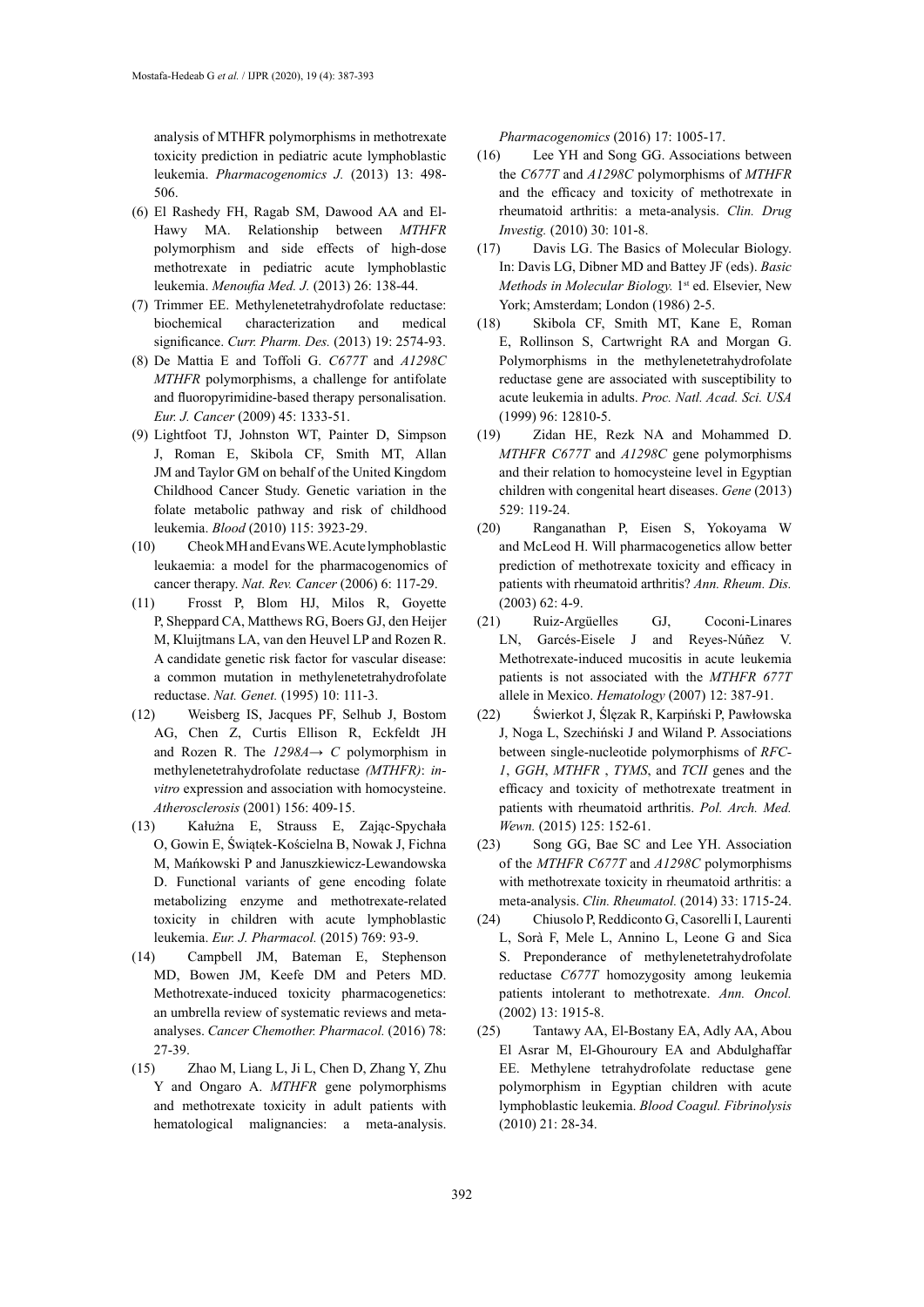analysis of MTHFR polymorphisms in methotrexate toxicity prediction in pediatric acute lymphoblastic leukemia. *Pharmacogenomics J.* (2013) 13: 498- 506.

- (6) [El Rashedy](http://www.mmj.eg.net/searchresult.asp?search=&author=Farida+H+El+Rashedy&journal=Y&but_search=Search&entries=10&pg=1&s=0) FH, [Ragab](http://www.mmj.eg.net/searchresult.asp?search=&author=Seham+M+Ragab&journal=Y&but_search=Search&entries=10&pg=1&s=0) SM, [Dawood](http://www.mmj.eg.net/searchresult.asp?search=&author=Ashraf+A+Dawood&journal=Y&but_search=Search&entries=10&pg=1&s=0) AA and [El-](http://www.mmj.eg.net/searchresult.asp?search=&author=Mahmoud+A+El%2DHawy&journal=Y&but_search=Search&entries=10&pg=1&s=0)[Hawy](http://www.mmj.eg.net/searchresult.asp?search=&author=Mahmoud+A+El%2DHawy&journal=Y&but_search=Search&entries=10&pg=1&s=0) MA. Relationship between *MTHFR* polymorphism and side effects of high-dose methotrexate in pediatric acute lymphoblastic leukemia. *Menoufia Med. J.* (2013) 26: 138-44.
- (7) Trimmer EE. Methylenetetrahydrofolate reductase: biochemical characterization and medical significance. *Curr. Pharm. Des.* (2013) 19: 2574-93.
- (8) De Mattia E and Toffoli G. *C677T* and *A1298C MTHFR* polymorphisms, a challenge for antifolate and fluoropyrimidine-based therapy personalisation. *Eur. J. Cancer* (2009) 45: 1333-51.
- (9) Lightfoot TJ, Johnston WT, Painter D, Simpson J, Roman E, Skibola CF, Smith MT, Allan JM and Taylor GM on behalf of the United Kingdom Childhood Cancer Study. Genetic variation in the folate metabolic pathway and risk of childhood leukemia. *Blood* (2010) 115: 3923-29.
- (10) Cheok MH and Evans WE. Acute lymphoblastic leukaemia: a model for the pharmacogenomics of cancer therapy. *Nat. Rev. Cancer* (2006) 6: 117-29.
- (11) [Frosst P](https://www.ncbi.nlm.nih.gov/pubmed/?term=Frosst P%5BAuthor%5D&cauthor=true&cauthor_uid=7647779), [Blom HJ,](https://www.ncbi.nlm.nih.gov/pubmed/?term=Blom HJ%5BAuthor%5D&cauthor=true&cauthor_uid=7647779) [Milos R,](https://www.ncbi.nlm.nih.gov/pubmed/?term=Milos R%5BAuthor%5D&cauthor=true&cauthor_uid=7647779) [Goyette](https://www.ncbi.nlm.nih.gov/pubmed/?term=Goyette P%5BAuthor%5D&cauthor=true&cauthor_uid=7647779)  [P](https://www.ncbi.nlm.nih.gov/pubmed/?term=Goyette P%5BAuthor%5D&cauthor=true&cauthor_uid=7647779), [Sheppard CA,](https://www.ncbi.nlm.nih.gov/pubmed/?term=Sheppard CA%5BAuthor%5D&cauthor=true&cauthor_uid=7647779) [Matthews RG](https://www.ncbi.nlm.nih.gov/pubmed/?term=Matthews RG%5BAuthor%5D&cauthor=true&cauthor_uid=7647779), [Boers GJ](https://www.ncbi.nlm.nih.gov/pubmed/?term=Boers GJ%5BAuthor%5D&cauthor=true&cauthor_uid=7647779), [den Heijer](https://www.ncbi.nlm.nih.gov/pubmed/?term=den Heijer M%5BAuthor%5D&cauthor=true&cauthor_uid=7647779)  [M](https://www.ncbi.nlm.nih.gov/pubmed/?term=den Heijer M%5BAuthor%5D&cauthor=true&cauthor_uid=7647779), [Kluijtmans LA](https://www.ncbi.nlm.nih.gov/pubmed/?term=Kluijtmans LA%5BAuthor%5D&cauthor=true&cauthor_uid=7647779), [van den Heuvel LP](https://www.ncbi.nlm.nih.gov/pubmed/?term=van den Heuvel LP%5BAuthor%5D&cauthor=true&cauthor_uid=7647779) and Rozen R. A candidate genetic risk factor for vascular disease: a common mutation in methylenetetrahydrofolate reductase. *[Nat. Genet.](https://www.ncbi.nlm.nih.gov/pubmed/7647779)* (1995) 10: 111-3.
- (12) [Weisberg IS,](https://www.ncbi.nlm.nih.gov/pubmed/?term=Weisberg IS%5BAuthor%5D&cauthor=true&cauthor_uid=11395038) [Jacques PF](https://www.ncbi.nlm.nih.gov/pubmed/?term=Jacques PF%5BAuthor%5D&cauthor=true&cauthor_uid=11395038), [Selhub J](https://www.ncbi.nlm.nih.gov/pubmed/?term=Selhub J%5BAuthor%5D&cauthor=true&cauthor_uid=11395038), [Bostom](https://www.ncbi.nlm.nih.gov/pubmed/?term=Bostom AG%5BAuthor%5D&cauthor=true&cauthor_uid=11395038)  [AG](https://www.ncbi.nlm.nih.gov/pubmed/?term=Bostom AG%5BAuthor%5D&cauthor=true&cauthor_uid=11395038), [Chen Z](https://www.ncbi.nlm.nih.gov/pubmed/?term=Chen Z%5BAuthor%5D&cauthor=true&cauthor_uid=11395038), [Curtis Ellison R,](https://www.ncbi.nlm.nih.gov/pubmed/?term=Curtis Ellison R%5BAuthor%5D&cauthor=true&cauthor_uid=11395038) [Eckfeldt JH](https://www.ncbi.nlm.nih.gov/pubmed/?term=Eckfeldt JH%5BAuthor%5D&cauthor=true&cauthor_uid=11395038)  and [Rozen R](https://www.ncbi.nlm.nih.gov/pubmed/?term=Rozen R%5BAuthor%5D&cauthor=true&cauthor_uid=11395038). The  $1298A \rightarrow C$  polymorphism in methylenetetrahydrofolate reductase *(MTHFR)*: *invitro* expression and association with homocysteine. *Atherosclerosis* (2001) 156: 409-15.
- (13) [Kałużna E](https://europepmc.org/search;jsessionid=2036150DA16E572635DD07F1F7193114?query=AUTH:%22Ka%C5%82u%C5%BCna+E%22&page=1), [Strauss E,](https://europepmc.org/search;jsessionid=2036150DA16E572635DD07F1F7193114?query=AUTH:%22Strauss+E%22&page=1) [Zając-Spychała](https://europepmc.org/search;jsessionid=2036150DA16E572635DD07F1F7193114?query=AUTH:%22Zaj%C4%85c-Spycha%C5%82a+O%22&page=1)  [O,](https://europepmc.org/search;jsessionid=2036150DA16E572635DD07F1F7193114?query=AUTH:%22Zaj%C4%85c-Spycha%C5%82a+O%22&page=1) [Gowin E](https://europepmc.org/search;jsessionid=2036150DA16E572635DD07F1F7193114?query=AUTH:%22Gowin+E%22&page=1), [Świątek-Kościelna B,](https://europepmc.org/search;jsessionid=2036150DA16E572635DD07F1F7193114?query=AUTH:%22%C5%9Awi%C4%85tek-Ko%C5%9Bcielna+B%22&page=1) [Nowak J,](https://europepmc.org/search;jsessionid=2036150DA16E572635DD07F1F7193114?query=AUTH:%22Nowak+J%22&page=1) Fichna M, Mańkowski P and Januszkiewicz-Lewandowska D. Functional variants of gene encoding folate metabolizing enzyme and methotrexate-related toxicity in children with acute lymphoblastic leukemia. *Eur. J. Pharmacol.* (2015) 769: 93-9.
- (14) [Campbell JM,](https://www.ncbi.nlm.nih.gov/pubmed/?term=Campbell JM%5BAuthor%5D&cauthor=true&cauthor_uid=27142726) [Bateman E,](https://www.ncbi.nlm.nih.gov/pubmed/?term=Bateman E%5BAuthor%5D&cauthor=true&cauthor_uid=27142726) [Stephenson](https://www.ncbi.nlm.nih.gov/pubmed/?term=Stephenson MD%5BAuthor%5D&cauthor=true&cauthor_uid=27142726)  [MD,](https://www.ncbi.nlm.nih.gov/pubmed/?term=Stephenson MD%5BAuthor%5D&cauthor=true&cauthor_uid=27142726) [Bowen JM,](https://www.ncbi.nlm.nih.gov/pubmed/?term=Bowen JM%5BAuthor%5D&cauthor=true&cauthor_uid=27142726) [Keefe DM](https://www.ncbi.nlm.nih.gov/pubmed/?term=Keefe DM%5BAuthor%5D&cauthor=true&cauthor_uid=27142726) and [Peters MD](https://www.ncbi.nlm.nih.gov/pubmed/?term=Peters MD%5BAuthor%5D&cauthor=true&cauthor_uid=27142726). Methotrexate-induced toxicity pharmacogenetics: an umbrella review of systematic reviews and metaanalyses. *[Cancer Chemother. Pharmacol.](https://www.ncbi.nlm.nih.gov/pubmed/27142726)* (2016) 78: 27-39.
- (15) [Zhao M,](https://www.ncbi.nlm.nih.gov/pubmed/?term=Zhao M%5BAuthor%5D&cauthor=true&cauthor_uid=27270164) [Liang L](https://www.ncbi.nlm.nih.gov/pubmed/?term=Liang L%5BAuthor%5D&cauthor=true&cauthor_uid=27270164), [Ji L,](https://www.ncbi.nlm.nih.gov/pubmed/?term=Ji L%5BAuthor%5D&cauthor=true&cauthor_uid=27270164) [Chen D,](https://www.ncbi.nlm.nih.gov/pubmed/?term=Chen D%5BAuthor%5D&cauthor=true&cauthor_uid=27270164) [Zhang Y,](https://www.ncbi.nlm.nih.gov/pubmed/?term=Zhang Y%5BAuthor%5D&cauthor=true&cauthor_uid=27270164) [Zhu](https://www.ncbi.nlm.nih.gov/pubmed/?term=Zhu Y%5BAuthor%5D&cauthor=true&cauthor_uid=27270164)  [Y](https://www.ncbi.nlm.nih.gov/pubmed/?term=Zhu Y%5BAuthor%5D&cauthor=true&cauthor_uid=27270164) and [Ongaro A.](https://www.ncbi.nlm.nih.gov/pubmed/?term=Ongaro A%5BAuthor%5D&cauthor=true&cauthor_uid=27270164) *MTHFR* gene polymorphisms and methotrexate toxicity in adult patients with hematological malignancies: a meta-analysis.

*Pharmacogenomics* (2016) 17: 1005-17.

- (16) Lee YH and Song GG. Associations between the *C677T* and *A1298C* polymorphisms of *MTHFR* and the efficacy and toxicity of methotrexate in rheumatoid arthritis: a meta-analysis. *Clin. Drug Investig.* (2010) 30: 101-8.
- (17) Davis LG. The Basics of Molecular Biology. In: Davis LG, Dibner MD and Battey JF (eds). *Basic Methods in Molecular Biology.* 1<sup>st</sup> ed. Elsevier, New York; Amsterdam; London (1986) 2-5.
- (18) [Skibola CF,](https://www.ncbi.nlm.nih.gov/pubmed/?term=Skibola CF%5BAuthor%5D&cauthor=true&cauthor_uid=10536004) [Smith MT,](https://www.ncbi.nlm.nih.gov/pubmed/?term=Smith MT%5BAuthor%5D&cauthor=true&cauthor_uid=10536004) [Kane E,](https://www.ncbi.nlm.nih.gov/pubmed/?term=Kane E%5BAuthor%5D&cauthor=true&cauthor_uid=10536004) [Roman](https://www.ncbi.nlm.nih.gov/pubmed/?term=Roman E%5BAuthor%5D&cauthor=true&cauthor_uid=10536004) [E](https://www.ncbi.nlm.nih.gov/pubmed/?term=Roman E%5BAuthor%5D&cauthor=true&cauthor_uid=10536004), [Rollinson S](https://www.ncbi.nlm.nih.gov/pubmed/?term=Rollinson S%5BAuthor%5D&cauthor=true&cauthor_uid=10536004), [Cartwright RA](https://www.ncbi.nlm.nih.gov/pubmed/?term=Cartwright RA%5BAuthor%5D&cauthor=true&cauthor_uid=10536004) and [Morgan G.](https://www.ncbi.nlm.nih.gov/pubmed/?term=Morgan G%5BAuthor%5D&cauthor=true&cauthor_uid=10536004) Polymorphisms in the methylenetetrahydrofolate reductase gene are associated with susceptibility to acute leukemia in adults. *Proc. Natl. Acad. Sci. USA* (1999) 96: 12810-5.
- (19) Zidan HE, Rezk NA and Mohammed D. *MTHFR C677T* and *A1298C* gene polymorphisms and their relation to homocysteine level in Egyptian children with congenital heart diseases. *Gene* (2013) 529: 119-24.
- (20) [Ranganathan](https://www.ncbi.nlm.nih.gov/pubmed/?term=Ranganathan P%5BAuthor%5D&cauthor=true&cauthor_uid=12480661) P, [Eisen](https://www.ncbi.nlm.nih.gov/pubmed/?term=Eisen S%5BAuthor%5D&cauthor=true&cauthor_uid=12480661) S, [Yokoyama](https://www.ncbi.nlm.nih.gov/pubmed/?term=Yokoyama W%5BAuthor%5D&cauthor=true&cauthor_uid=12480661) W and [McLeod](https://www.ncbi.nlm.nih.gov/pubmed/?term=McLeod H%5BAuthor%5D&cauthor=true&cauthor_uid=12480661) H. Will pharmacogenetics allow better prediction of methotrexate toxicity and efficacy in patients with rheumatoid arthritis? *Ann. Rheum. Dis.* (2003) 62: 4-9.
- (21) [Ruiz-Argüelles GJ](https://www.ncbi.nlm.nih.gov/pubmed/?term=Ruiz-Arg%C3%BCelles GJ%5BAuthor%5D&cauthor=true&cauthor_uid=17891601), [Coconi-Linares](https://www.ncbi.nlm.nih.gov/pubmed/?term=Coconi-Linares LN%5BAuthor%5D&cauthor=true&cauthor_uid=17891601) [LN,](https://www.ncbi.nlm.nih.gov/pubmed/?term=Coconi-Linares LN%5BAuthor%5D&cauthor=true&cauthor_uid=17891601) [Garcés-Eisele J](https://www.ncbi.nlm.nih.gov/pubmed/?term=Garc%C3%A9s-Eisele J%5BAuthor%5D&cauthor=true&cauthor_uid=17891601) and [Reyes-Núñez V.](https://www.ncbi.nlm.nih.gov/pubmed/?term=Reyes-N%C3%BA%C3%B1ez V%5BAuthor%5D&cauthor=true&cauthor_uid=17891601) Methotrexate-induced mucositis in acute leukemia patients is not associated with the *MTHFR 677T* allele in Mexico. *Hematology* (2007) 12: 387-91.
- (22) [Świerkot J,](https://www.ncbi.nlm.nih.gov/pubmed/?term=%C5%9Awierkot J%5BAuthor%5D&cauthor=true&cauthor_uid=25599563) [Ślęzak R,](https://www.ncbi.nlm.nih.gov/pubmed/?term=%C5%9Al%C4%99zak R%5BAuthor%5D&cauthor=true&cauthor_uid=25599563) [Karpiński P,](https://www.ncbi.nlm.nih.gov/pubmed/?term=Karpi%C5%84ski P%5BAuthor%5D&cauthor=true&cauthor_uid=25599563) [Pawłowska](https://www.ncbi.nlm.nih.gov/pubmed/?term=Paw%C5%82owska J%5BAuthor%5D&cauthor=true&cauthor_uid=25599563) [J](https://www.ncbi.nlm.nih.gov/pubmed/?term=Paw%C5%82owska J%5BAuthor%5D&cauthor=true&cauthor_uid=25599563), [Noga L](https://www.ncbi.nlm.nih.gov/pubmed/?term=Noga L%5BAuthor%5D&cauthor=true&cauthor_uid=25599563), [Szechiński J](https://www.ncbi.nlm.nih.gov/pubmed/?term=Szechi%C5%84ski J%5BAuthor%5D&cauthor=true&cauthor_uid=25599563) and [Wiland P.](https://www.ncbi.nlm.nih.gov/pubmed/?term=Wiland P%5BAuthor%5D&cauthor=true&cauthor_uid=25599563) Associations between single-nucleotide polymorphisms of *RFC-1*, *GGH*, *MTHFR* , *TYMS*, and *TCII* genes and the efficacy and toxicity of methotrexate treatment in patients with rheumatoid arthritis. *Pol. Arch. Med. Wewn.* (2015) 125: 152-61.
- (23) Song GG, Bae SC and Lee YH. Association of the *MTHFR C677T* and *A1298C* polymorphisms with methotrexate toxicity in rheumatoid arthritis: a meta-analysis. *Clin. Rheumatol.* (2014) 33: 1715-24.
- (24) [Chiusolo P,](https://www.ncbi.nlm.nih.gov/pubmed/?term=Chiusolo P%5BAuthor%5D&cauthor=true&cauthor_uid=12453860) [Reddiconto G](https://www.ncbi.nlm.nih.gov/pubmed/?term=Reddiconto G%5BAuthor%5D&cauthor=true&cauthor_uid=12453860), [Casorelli I,](https://www.ncbi.nlm.nih.gov/pubmed/?term=Casorelli I%5BAuthor%5D&cauthor=true&cauthor_uid=12453860) [Laurenti](https://www.ncbi.nlm.nih.gov/pubmed/?term=Laurenti L%5BAuthor%5D&cauthor=true&cauthor_uid=12453860) [L](https://www.ncbi.nlm.nih.gov/pubmed/?term=Laurenti L%5BAuthor%5D&cauthor=true&cauthor_uid=12453860), [Sorà F](https://www.ncbi.nlm.nih.gov/pubmed/?term=Sor%C3%A0 F%5BAuthor%5D&cauthor=true&cauthor_uid=12453860), [Mele L](https://www.ncbi.nlm.nih.gov/pubmed/?term=Mele L%5BAuthor%5D&cauthor=true&cauthor_uid=12453860), [Annino L,](https://www.ncbi.nlm.nih.gov/pubmed/?term=Annino L%5BAuthor%5D&cauthor=true&cauthor_uid=12453860) [Leone G](https://www.ncbi.nlm.nih.gov/pubmed/?term=Leone G%5BAuthor%5D&cauthor=true&cauthor_uid=12453860) and [Sica](https://www.ncbi.nlm.nih.gov/pubmed/?term=Sica S%5BAuthor%5D&cauthor=true&cauthor_uid=12453860) [S.](https://www.ncbi.nlm.nih.gov/pubmed/?term=Sica S%5BAuthor%5D&cauthor=true&cauthor_uid=12453860) Preponderance of methylenetetrahydrofolate reductase *C677T* homozygosity among leukemia patients intolerant to methotrexate. *Ann. Oncol.* (2002) 13: 1915-8.
- (25) [Tantawy AA](https://www.ncbi.nlm.nih.gov/pubmed/?term=Tantawy AA%5BAuthor%5D&cauthor=true&cauthor_uid=19923983), [El-Bostany EA,](https://www.ncbi.nlm.nih.gov/pubmed/?term=El-Bostany EA%5BAuthor%5D&cauthor=true&cauthor_uid=19923983) [Adly AA](https://www.ncbi.nlm.nih.gov/pubmed/?term=Adly AA%5BAuthor%5D&cauthor=true&cauthor_uid=19923983), [Abou](https://www.ncbi.nlm.nih.gov/pubmed/?term=Abou El Asrar M%5BAuthor%5D&cauthor=true&cauthor_uid=19923983) [El Asrar M,](https://www.ncbi.nlm.nih.gov/pubmed/?term=Abou El Asrar M%5BAuthor%5D&cauthor=true&cauthor_uid=19923983) [El-Ghouroury EA](https://www.ncbi.nlm.nih.gov/pubmed/?term=El-Ghouroury EA%5BAuthor%5D&cauthor=true&cauthor_uid=19923983) and [Abdulghaffar](https://www.ncbi.nlm.nih.gov/pubmed/?term=Abdulghaffar EE%5BAuthor%5D&cauthor=true&cauthor_uid=19923983) [EE.](https://www.ncbi.nlm.nih.gov/pubmed/?term=Abdulghaffar EE%5BAuthor%5D&cauthor=true&cauthor_uid=19923983) Methylene tetrahydrofolate reductase gene polymorphism in Egyptian children with acute lymphoblastic leukemia. *Blood Coagul. Fibrinolysis* (2010) 21: 28-34.